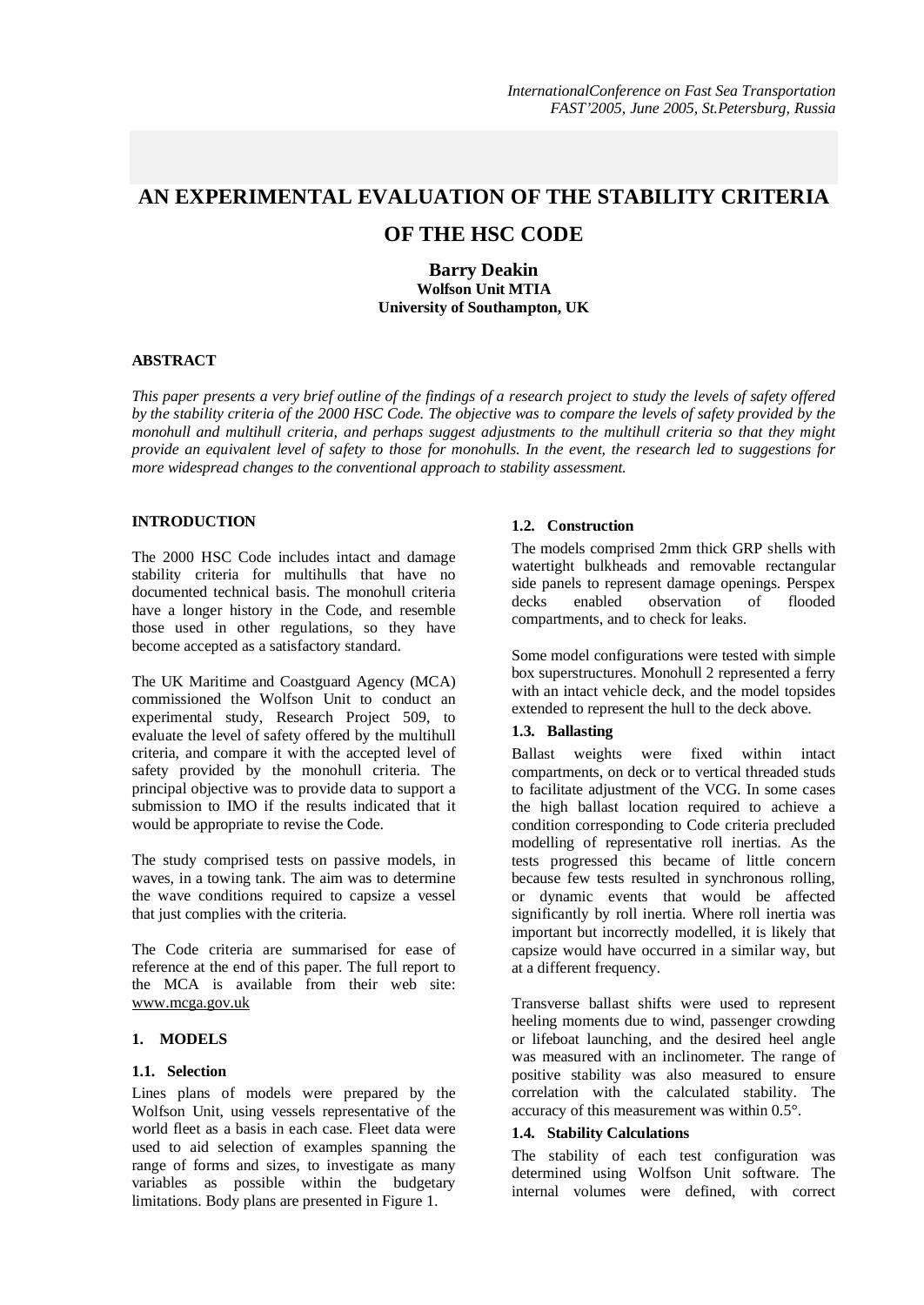# **AN EXPERIMENTAL EVALUATION OF THE STABILITY CRITERIA**

# **OF THE HSC CODE**

**Barry Deakin Wolfson Unit MTIA University of Southampton, UK** 

## **ABSTRACT**

This paper presents a very brief outline of the findings of a research project to study the levels of safety offered by the stability criteria of the 2000 HSC Code. The objective was to compare the levels of safety provided by the *monohull and multihull criteria, and perhaps suggest adjustments to the multihull criteria so that they might*  provide an equivalent level of safety to those for monohulls. In the event, the research led to suggestions for *more widespread changes to the conventional approach to stability assessment.* 

## **INTRODUCTION**

The 2000 HSC Code includes intact and damage stability criteria for multihulls that have no documented technical basis. The monohull criteria have a longer history in the Code, and resemble those used in other regulations, so they have become accepted as a satisfactory standard.

The UK Maritime and Coastguard Agency (MCA) commissioned the Wolfson Unit to conduct an experimental study, Research Project 509, to evaluate the level of safety offered by the multihull criteria, and compare it with the accepted level of safety provided by the monohull criteria. The principal objective was to provide data to support a submission to IMO if the results indicated that it would be appropriate to revise the Code.

The study comprised tests on passive models, in waves, in a towing tank. The aim was to determine the wave conditions required to capsize a vessel that just complies with the criteria.

The Code criteria are summarised for ease of reference at the end of this paper. The full report to the MCA is available from their web site: [www.mcga.gov.uk](http://www.mcga.gov.uk)

# **1. MODELS**

# **1.1. Selection**

Lines plans of models were prepared by the Wolfson Unit, using vessels representative of the world fleet as a basis in each case. Fleet data were used to aid selection of examples spanning the range of forms and sizes, to investigate as many variables as possible within the budgetary limitations. Body plans are presented in Figure 1.

## **1.2. Construction**

The models comprised 2mm thick GRP shells with watertight bulkheads and removable rectangular side panels to represent damage openings. Perspex decks enabled observation of flooded compartments, and to check for leaks.

Some model configurations were tested with simple box superstructures. Monohull 2 represented a ferry with an intact vehicle deck, and the model topsides extended to represent the hull to the deck above.

## **1.3. Ballasting**

Ballast weights were fixed within intact compartments, on deck or to vertical threaded studs to facilitate adjustment of the VCG. In some cases the high ballast location required to achieve a condition corresponding to Code criteria precluded modelling of representative roll inertias. As the tests progressed this became of little concern because few tests resulted in synchronous rolling, or dynamic events that would be affected significantly by roll inertia. Where roll inertia was important but incorrectly modelled, it is likely that capsize would have occurred in a similar way, but at a different frequency.

Transverse ballast shifts were used to represent heeling moments due to wind, passenger crowding or lifeboat launching, and the desired heel angle was measured with an inclinometer. The range of positive stability was also measured to ensure correlation with the calculated stability. The accuracy of this measurement was within 0.5°.

### **1.4. Stability Calculations**

The stability of each test configuration was determined using Wolfson Unit software. The internal volumes were defined, with correct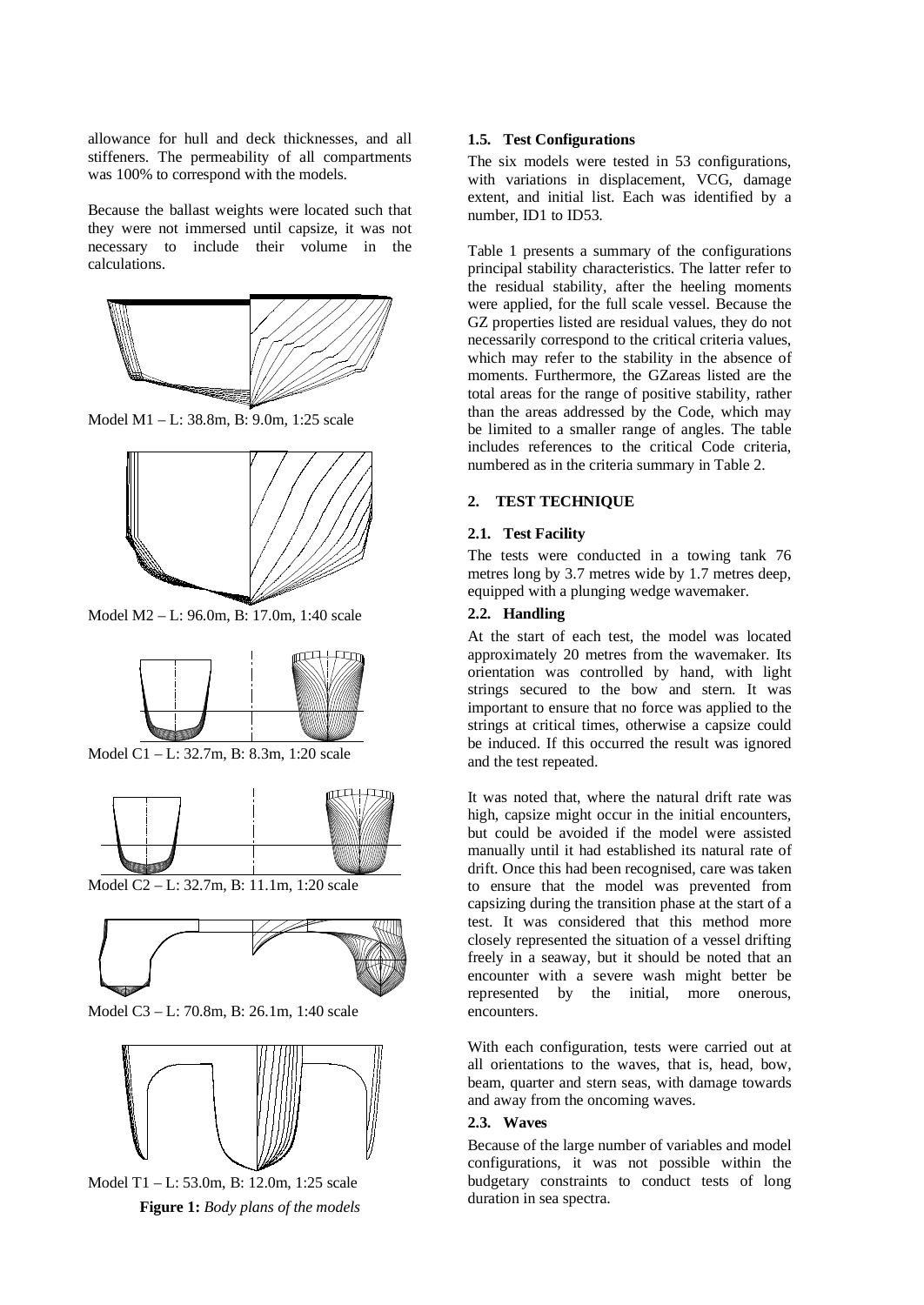allowance for hull and deck thicknesses, and all stiffeners. The permeability of all compartments was 100% to correspond with the models.

Because the ballast weights were located such that they were not immersed until capsize, it was not necessary to include their volume in the calculations.



Model M1 – L: 38.8m, B: 9.0m, 1:25 scale



Model M2 – L: 96.0m, B: 17.0m, 1:40 scale



Model C1 – L: 32.7m, B: 8.3m, 1:20 scale



Model C2 – L: 32.7m, B: 11.1m, 1:20 scale



Model C3 – L: 70.8m, B: 26.1m, 1:40 scale



Model T1 – L: 53.0m, B: 12.0m, 1:25 scale **Figure 1:** *Body plans of the models* 

## **1.5. Test Configurations**

The six models were tested in 53 configurations, with variations in displacement, VCG, damage extent, and initial list. Each was identified by a number, ID1 to ID53.

Table 1 presents a summary of the configurations principal stability characteristics. The latter refer to the residual stability, after the heeling moments were applied, for the full scale vessel. Because the GZ properties listed are residual values, they do not necessarily correspond to the critical criteria values, which may refer to the stability in the absence of moments. Furthermore, the GZareas listed are the total areas for the range of positive stability, rather than the areas addressed by the Code, which may be limited to a smaller range of angles. The table includes references to the critical Code criteria, numbered as in the criteria summary in Table 2.

# **2. TEST TECHNIQUE**

## **2.1. Test Facility**

The tests were conducted in a towing tank 76 metres long by 3.7 metres wide by 1.7 metres deep, equipped with a plunging wedge wavemaker.

# **2.2. Handling**

At the start of each test, the model was located approximately 20 metres from the wavemaker. Its orientation was controlled by hand, with light strings secured to the bow and stern. It was important to ensure that no force was applied to the strings at critical times, otherwise a capsize could be induced. If this occurred the result was ignored and the test repeated.

It was noted that, where the natural drift rate was high, capsize might occur in the initial encounters. but could be avoided if the model were assisted manually until it had established its natural rate of drift. Once this had been recognised, care was taken to ensure that the model was prevented from capsizing during the transition phase at the start of a test. It was considered that this method more closely represented the situation of a vessel drifting freely in a seaway, but it should be noted that an encounter with a severe wash might better be represented by the initial, more onerous, encounters.

With each configuration, tests were carried out at all orientations to the waves, that is, head, bow, beam, quarter and stern seas, with damage towards and away from the oncoming waves.

#### **2.3. Waves**

Because of the large number of variables and model configurations, it was not possible within the budgetary constraints to conduct tests of long duration in sea spectra.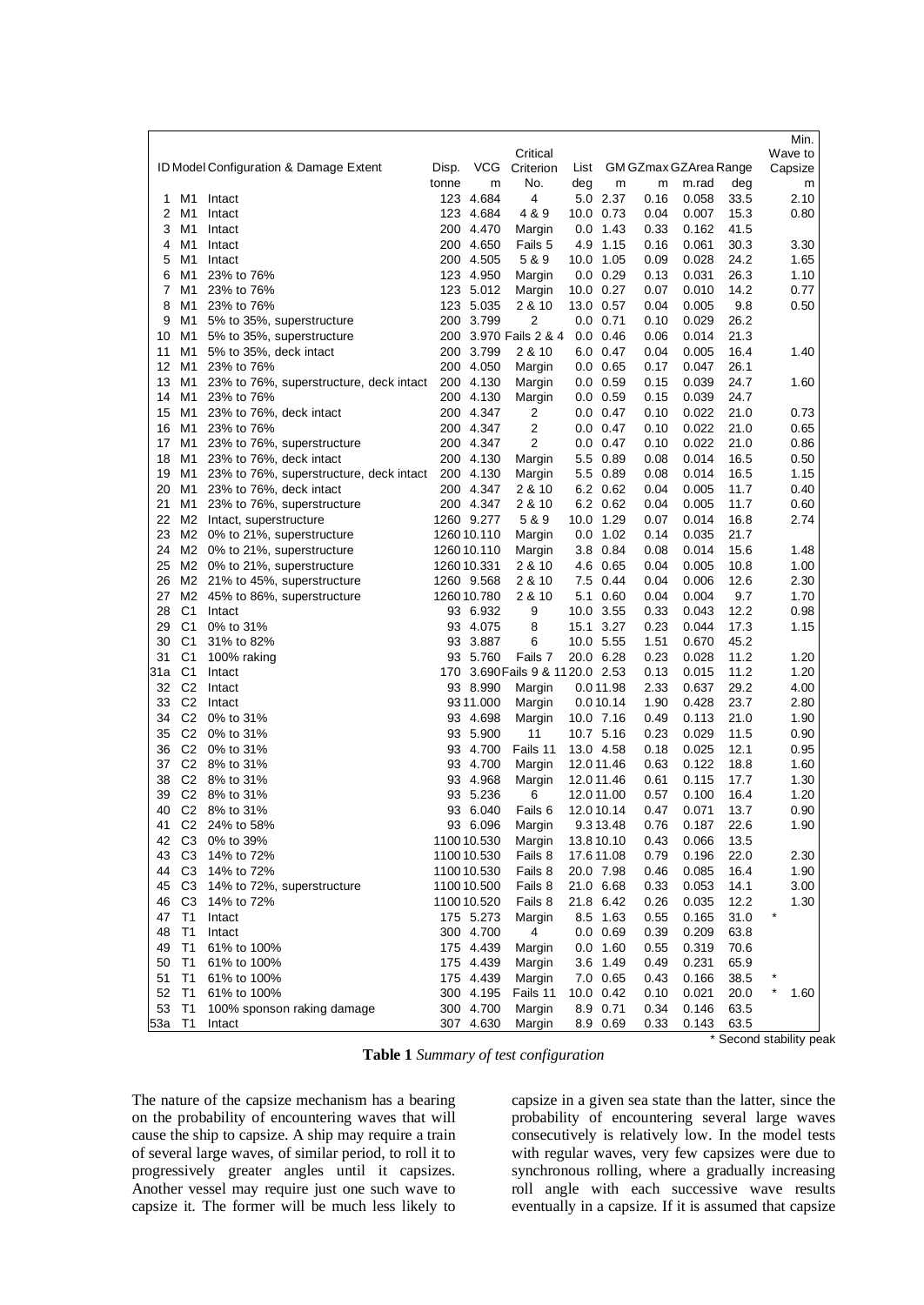|                |                   |                                         |       |             |                                  |            |                  |                            |       |      | Min.                  |
|----------------|-------------------|-----------------------------------------|-------|-------------|----------------------------------|------------|------------------|----------------------------|-------|------|-----------------------|
|                |                   |                                         |       |             | Critical                         |            |                  |                            |       |      | Wave to               |
|                |                   | ID Model Configuration & Damage Extent  | Disp. | <b>VCG</b>  | Criterion                        |            |                  | List GM GZmax GZArea Range |       |      | Capsize               |
|                |                   |                                         | tonne | m           | No.                              | deg        | m                | m                          | m.rad | deg  | m                     |
| 1              | M1                | Intact                                  |       | 123 4.684   | 4                                |            | 5.0 2.37         | 0.16                       | 0.058 | 33.5 | 2.10                  |
| 2              | M1                | Intact                                  |       | 123 4.684   | 4 & 9                            | 10.0 0.73  |                  | 0.04                       | 0.007 | 15.3 | 0.80                  |
| 3              | M1                | Intact                                  |       | 200 4.470   | Margin                           |            | $0.0$ 1.43       | 0.33                       | 0.162 | 41.5 |                       |
| 4              | M1                | Intact                                  |       | 200 4.650   | Fails 5                          |            | 4.9 1.15         | 0.16                       | 0.061 | 30.3 | 3.30                  |
| 5              | M1                | Intact                                  |       | 200 4.505   | 5 & 9                            | 10.0 1.05  |                  | 0.09                       | 0.028 | 24.2 | 1.65                  |
| 6              | M1                | 23% to 76%                              |       | 123 4.950   | Margin                           |            | $0.0 \quad 0.29$ | 0.13                       | 0.031 | 26.3 | 1.10                  |
| $\overline{7}$ | M1                | 23% to 76%                              |       | 123 5.012   | Margin                           | 10.0 0.27  |                  | 0.07                       | 0.010 | 14.2 | 0.77                  |
| 8              | M1                | 23% to 76%                              |       | 123 5.035   | 2 & 10                           | 13.0 0.57  |                  | 0.04                       | 0.005 | 9.8  | 0.50                  |
| 9              | M1                | 5% to 35%, superstructure               |       | 200 3.799   | 2                                |            | $0.0 \quad 0.71$ | 0.10                       | 0.029 | 26.2 |                       |
| 10             | M1                | 5% to 35%, superstructure               |       |             | 200 3.970 Fails 2 & 4            |            | $0.0 \quad 0.46$ | 0.06                       | 0.014 | 21.3 |                       |
| 11             | M1                | 5% to 35%, deck intact                  |       | 200 3.799   | 2 & 10                           |            | 6.0 0.47         | 0.04                       | 0.005 | 16.4 | 1.40                  |
| 12             | M1                | 23% to 76%                              |       | 200 4.050   | Margin                           |            | $0.0 \quad 0.65$ | 0.17                       | 0.047 | 26.1 |                       |
| 13             | M1                | 23% to 76%, superstructure, deck intact |       | 200 4.130   | Margin                           |            | $0.0 \quad 0.59$ | 0.15                       | 0.039 | 24.7 | 1.60                  |
| 14             | M1                | 23% to 76%                              |       | 200 4.130   | Margin                           |            | $0.0$ $0.59$     | 0.15                       | 0.039 | 24.7 |                       |
| 15             | M1                | 23% to 76%, deck intact                 |       | 200 4.347   | 2                                |            | $0.0 \quad 0.47$ | 0.10                       | 0.022 | 21.0 | 0.73                  |
| 16             | M1                | 23% to 76%                              |       | 200 4.347   | 2                                |            | $0.0 \quad 0.47$ | 0.10                       | 0.022 | 21.0 | 0.65                  |
| 17             | M1                | 23% to 76%, superstructure              |       | 200 4.347   | 2                                |            | $0.0 \quad 0.47$ | 0.10                       | 0.022 | 21.0 | 0.86                  |
| 18             | M1                | 23% to 76%, deck intact                 |       | 200 4.130   | Margin                           |            | 5.5 0.89         | 0.08                       | 0.014 | 16.5 | 0.50                  |
| 19             | M1                | 23% to 76%, superstructure, deck intact |       | 200 4.130   | Margin                           |            | 5.5 0.89         | 0.08                       | 0.014 | 16.5 | 1.15                  |
| 20             | M1                | 23% to 76%, deck intact                 |       | 200 4.347   | 2 & 10                           |            | 6.2 0.62         | 0.04                       | 0.005 | 11.7 | 0.40                  |
| 21             |                   | M1 23% to 76%, superstructure           |       | 200 4.347   | 2 & 10                           |            | 6.2 0.62         | 0.04                       | 0.005 | 11.7 | 0.60                  |
| 22             |                   | M2 Intact, superstructure               |       | 1260 9.277  | 5 & 9                            | 10.0 1.29  |                  | 0.07                       | 0.014 | 16.8 | 2.74                  |
| 23             |                   | M2 0% to 21%, superstructure            |       | 1260 10.110 | Margin                           |            | $0.0$ 1.02       | 0.14                       | 0.035 | 21.7 |                       |
|                |                   | 24 M2 0% to 21%, superstructure         |       | 1260 10.110 | Margin                           |            | 3.8 0.84         | 0.08                       | 0.014 | 15.6 | 1.48                  |
| 25             |                   | M2 0% to 21%, superstructure            |       | 1260 10.331 | 2 & 10                           |            | 4.6 0.65         | 0.04                       | 0.005 | 10.8 | 1.00                  |
|                |                   | 26 M2 21% to 45%, superstructure        |       | 1260 9.568  | 2 & 10                           |            | 7.5 0.44         | 0.04                       | 0.006 | 12.6 | 2.30                  |
|                |                   | 27 M2 45% to 86%, superstructure        |       | 1260 10.780 | 2 & 10                           | 5.1        | 0.60             | 0.04                       | 0.004 | 9.7  | 1.70                  |
| 28             | C1                | Intact                                  |       | 93 6.932    | 9                                | 10.0 3.55  |                  | 0.33                       | 0.043 | 12.2 | 0.98                  |
| 29             | C1                | 0% to 31%                               |       | 93 4.075    | 8                                | 15.1 3.27  |                  | 0.23                       | 0.044 | 17.3 | 1.15                  |
| 30             | C1                | 31% to 82%                              |       | 93 3.887    | 6                                | 10.0 5.55  |                  | 1.51                       | 0.670 | 45.2 |                       |
| 31             | C1                | 100% raking                             |       | 93 5.760    | Fails 7                          | 20.0 6.28  |                  | 0.23                       | 0.028 | 11.2 | 1.20                  |
| 31a            | C1                | Intact                                  |       |             | 170 3.690 Fails 9 & 11 20.0 2.53 |            |                  | 0.13                       | 0.015 | 11.2 | 1.20                  |
|                | 32 C <sub>2</sub> | Intact                                  |       | 93 8.990    | Margin                           |            | 0.011.98         | 2.33                       | 0.637 | 29.2 | 4.00                  |
| 33             | C2                | Intact                                  |       | 93 11.000   | Margin                           |            | 0.010.14         | 1.90                       | 0.428 | 23.7 | 2.80                  |
|                |                   | 34 C2 0% to 31%                         |       | 93 4.698    | Margin                           | 10.0 7.16  |                  | 0.49                       | 0.113 | 21.0 | 1.90                  |
| 35             | C <sub>2</sub>    | 0% to 31%                               |       | 93 5.900    | 11                               | 10.7 5.16  |                  | 0.23                       | 0.029 | 11.5 | 0.90                  |
|                | 36 C2             | 0% to 31%                               |       | 93 4.700    | Fails 11                         | 13.0 4.58  |                  | 0.18                       | 0.025 | 12.1 | 0.95                  |
|                |                   | 37 C2 8% to 31%                         |       | 93 4.700    | Margin                           |            | 12.0 11.46       | 0.63                       | 0.122 | 18.8 | 1.60                  |
| 38             |                   | C2 8% to 31%                            |       | 93 4.968    | Margin                           | 12.011.46  |                  | 0.61                       | 0.115 | 17.7 | 1.30                  |
| 39             | C <sub>2</sub>    | 8% to 31%                               |       | 93 5.236    | 6                                | 12.011.00  |                  | 0.57                       | 0.100 | 16.4 | 1.20                  |
| 40             |                   | C2 8% to 31%                            |       | 93 6.040    | Fails 6                          | 12.010.14  |                  | 0.47                       | 0.071 | 13.7 | 0.90                  |
| 41             |                   | C <sub>2</sub> 24% to 58%               |       | 93 6.096    | Margin                           |            | 9.313.48         | 0.76                       | 0.187 | 22.6 | 1.90                  |
|                |                   | 42 C3 0% to 39%                         |       | 1100 10.530 | Margin                           | 13.8 10.10 |                  | 0.43                       | 0.066 | 13.5 |                       |
| 43             | C <sub>3</sub>    | 14% to 72%                              |       | 1100 10.530 | Fails 8                          | 17.6 11.08 |                  | 0.79                       | 0.196 | 22.0 | 2.30                  |
| 44             | C <sub>3</sub>    | 14% to 72%                              |       | 1100 10.530 | Fails 8                          | 20.0 7.98  |                  | 0.46                       | 0.085 | 16.4 | 1.90                  |
|                |                   | 45 C3 14% to 72%, superstructure        |       | 1100 10.500 | Fails 8                          | 21.0 6.68  |                  | 0.33                       | 0.053 | 14.1 | 3.00                  |
| 46             | C3                | 14% to 72%                              |       | 1100 10.520 | Fails 8                          | 21.8 6.42  |                  | 0.26                       | 0.035 | 12.2 | 1.30                  |
| 47             | T1                | Intact                                  |       | 175 5.273   | Margin                           |            | 8.5 1.63         | 0.55                       | 0.165 | 31.0 |                       |
| 48             | T <sub>1</sub>    | Intact                                  |       | 300 4.700   | 4                                |            | $0.0 \quad 0.69$ | 0.39                       | 0.209 | 63.8 |                       |
| 49             | T <sub>1</sub>    | 61% to 100%                             |       | 175 4.439   | Margin                           |            | $0.0$ 1.60       | 0.55                       | 0.319 | 70.6 |                       |
| 50             | T1                | 61% to 100%                             |       | 175 4.439   | Margin                           |            | 3.6 1.49         | 0.49                       | 0.231 | 65.9 |                       |
| 51             | T <sub>1</sub>    | 61% to 100%                             |       | 175 4.439   | Margin                           |            | 7.0 0.65         | 0.43                       | 0.166 | 38.5 |                       |
| 52             | T1                | 61% to 100%                             |       | 300 4.195   | Fails 11                         | 10.0 0.42  |                  | 0.10                       | 0.021 | 20.0 | 1.60                  |
| 53             | T <sub>1</sub>    | 100% sponson raking damage              |       | 300 4.700   | Margin                           |            | 8.9 0.71         | 0.34                       | 0.146 | 63.5 |                       |
| 53a T1         |                   | Intact                                  |       | 307 4.630   | Margin                           |            | 8.9 0.69         | 0.33                       | 0.143 | 63.5 |                       |
|                |                   |                                         |       |             |                                  |            |                  |                            |       |      | Second stability peak |

**Table 1** *Summary of test configuration* 

The nature of the capsize mechanism has a bearing on the probability of encountering waves that will cause the ship to capsize. A ship may require a train of several large waves, of similar period, to roll it to progressively greater angles until it capsizes. Another vessel may require just one such wave to capsize it. The former will be much less likely to

capsize in a given sea state than the latter, since the probability of encountering several large waves consecutively is relatively low. In the model tests with regular waves, very few capsizes were due to synchronous rolling, where a gradually increasing roll angle with each successive wave results eventually in a capsize. If it is assumed that capsize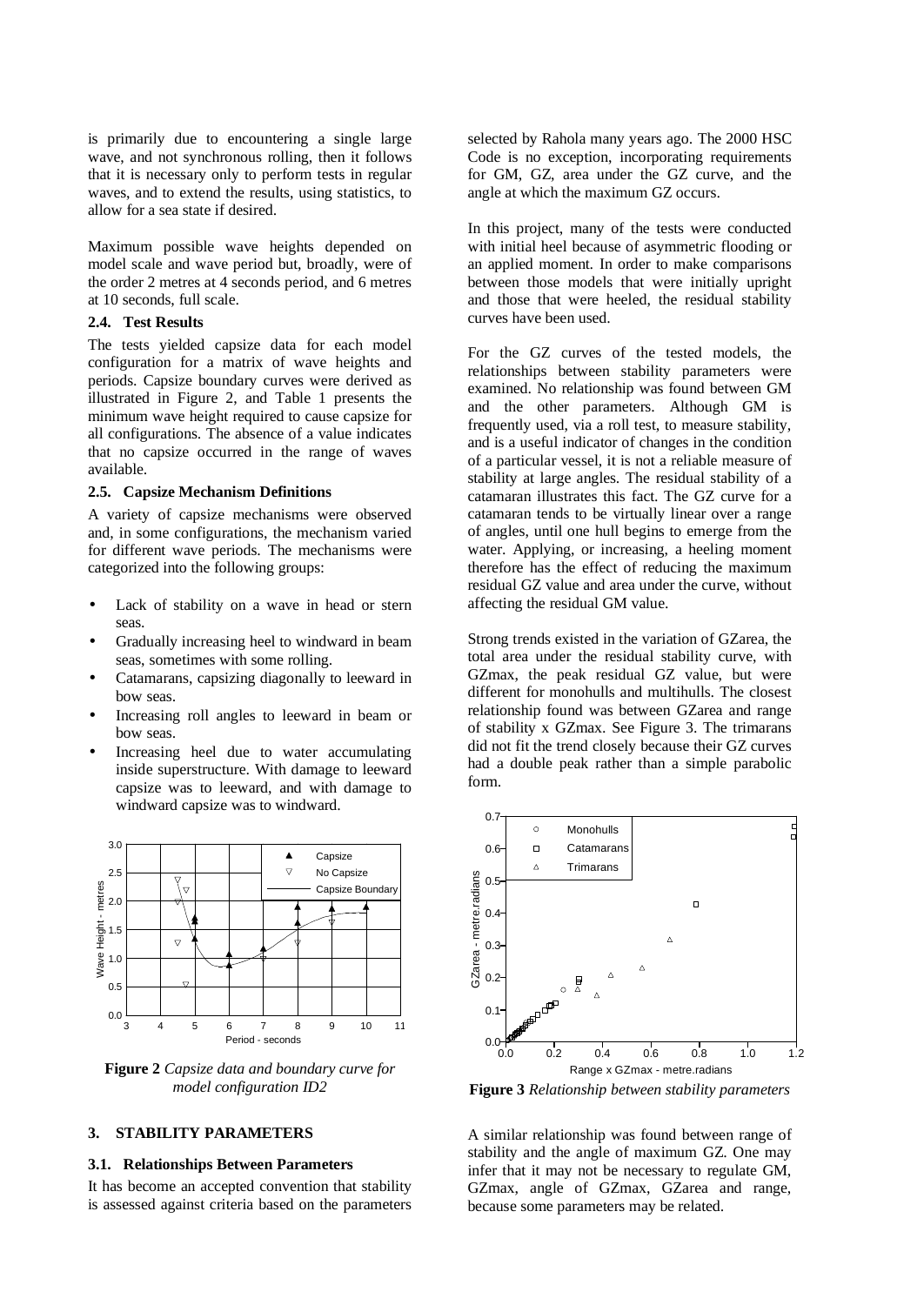is primarily due to encountering a single large wave, and not synchronous rolling, then it follows that it is necessary only to perform tests in regular waves, and to extend the results, using statistics, to allow for a sea state if desired.

Maximum possible wave heights depended on model scale and wave period but, broadly, were of the order 2 metres at 4 seconds period, and 6 metres at 10 seconds, full scale.

#### **2.4. Test Results**

The tests yielded capsize data for each model configuration for a matrix of wave heights and periods. Capsize boundary curves were derived as illustrated in Figure 2, and Table 1 presents the minimum wave height required to cause capsize for all configurations. The absence of a value indicates that no capsize occurred in the range of waves available.

#### **2.5. Capsize Mechanism Definitions**

A variety of capsize mechanisms were observed and, in some configurations, the mechanism varied for different wave periods. The mechanisms were categorized into the following groups:

- Lack of stability on a wave in head or stern seas.
- Gradually increasing heel to windward in beam seas, sometimes with some rolling.
- Catamarans, capsizing diagonally to leeward in bow seas.
- Increasing roll angles to leeward in beam or bow seas.
- Increasing heel due to water accumulating inside superstructure. With damage to leeward capsize was to leeward, and with damage to windward capsize was to windward.



**Figure 2** *Capsize data and boundary curve for model configuration ID2* 

# **3. STABILITY PARAMETERS**

#### **3.1. Relationships Between Parameters**

It has become an accepted convention that stability is assessed against criteria based on the parameters selected by Rahola many years ago. The 2000 HSC Code is no exception, incorporating requirements for GM, GZ, area under the GZ curve, and the angle at which the maximum GZ occurs.

In this project, many of the tests were conducted with initial heel because of asymmetric flooding or an applied moment. In order to make comparisons between those models that were initially upright and those that were heeled, the residual stability curves have been used.

For the GZ curves of the tested models, the relationships between stability parameters were examined. No relationship was found between GM and the other parameters. Although GM is frequently used, via a roll test, to measure stability, and is a useful indicator of changes in the condition of a particular vessel, it is not a reliable measure of stability at large angles. The residual stability of a catamaran illustrates this fact. The GZ curve for a catamaran tends to be virtually linear over a range of angles, until one hull begins to emerge from the water. Applying, or increasing, a heeling moment therefore has the effect of reducing the maximum residual GZ value and area under the curve, without affecting the residual GM value.

Strong trends existed in the variation of GZarea, the total area under the residual stability curve, with GZmax, the peak residual GZ value, but were different for monohulls and multihulls. The closest relationship found was between GZarea and range of stability x GZmax. See Figure 3. The trimarans did not fit the trend closely because their GZ curves had a double peak rather than a simple parabolic form.



**Figure 3** *Relationship between stability parameters* 

A similar relationship was found between range of stability and the angle of maximum GZ. One may infer that it may not be necessary to regulate GM, GZmax, angle of GZmax, GZarea and range, because some parameters may be related.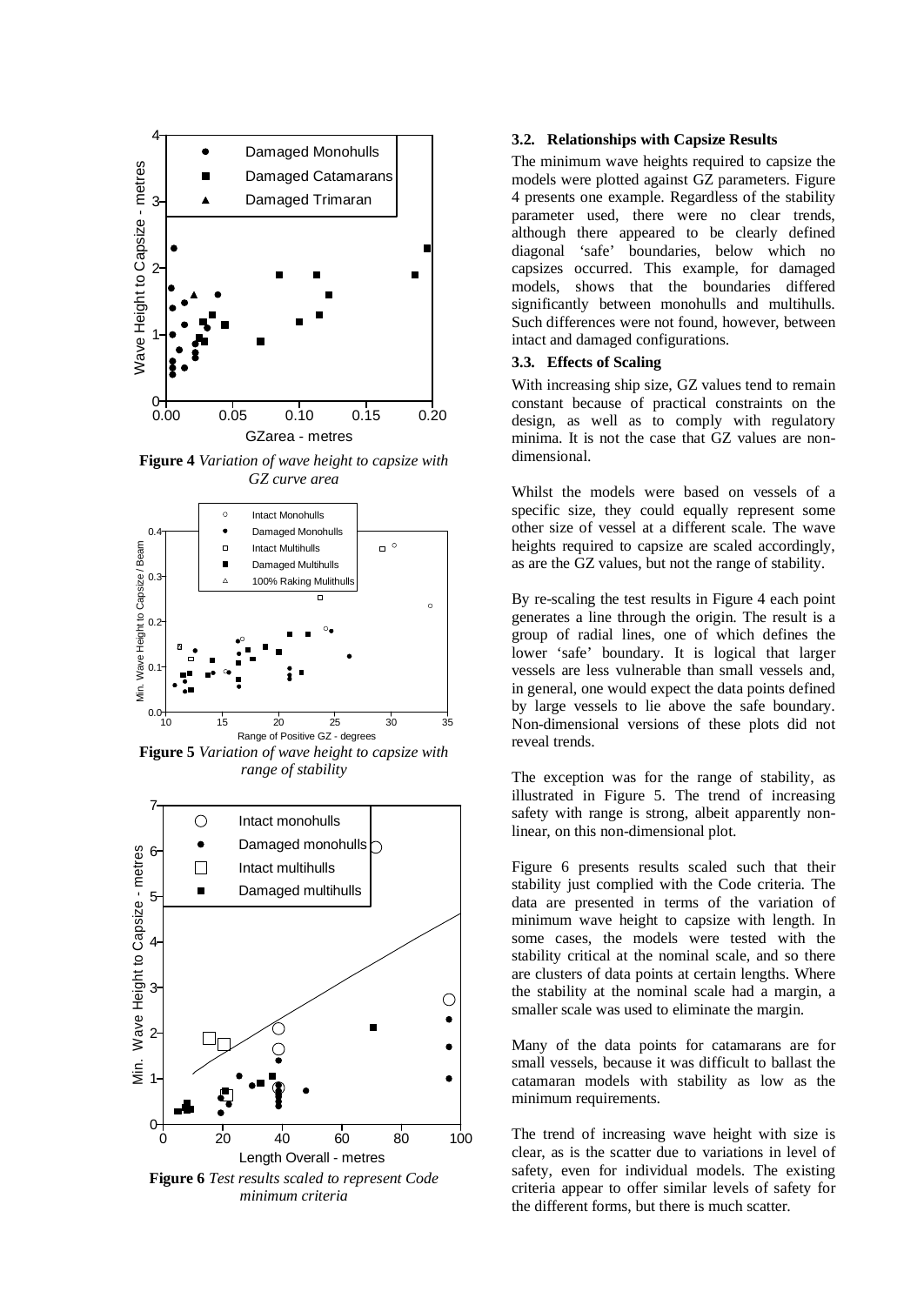

**Figure 4** *Variation of wave height to capsize with GZ curve area* 



**Figure 5** *Variation of wave height to capsize with range of stability* 



*minimum criteria* 

#### **3.2. Relationships with Capsize Results**

The minimum wave heights required to capsize the models were plotted against GZ parameters. Figure 4 presents one example. Regardless of the stability parameter used, there were no clear trends, although there appeared to be clearly defined diagonal 'safe' boundaries, below which no capsizes occurred. This example, for damaged models, shows that the boundaries differed significantly between monohulls and multihulls. Such differences were not found, however, between intact and damaged configurations.

# **3.3. Effects of Scaling**

With increasing ship size, GZ values tend to remain constant because of practical constraints on the design, as well as to comply with regulatory minima. It is not the case that GZ values are nondimensional.

Whilst the models were based on vessels of a specific size, they could equally represent some other size of vessel at a different scale. The wave heights required to capsize are scaled accordingly, as are the GZ values, but not the range of stability.

By re-scaling the test results in Figure 4 each point generates a line through the origin. The result is a group of radial lines, one of which defines the lower 'safe' boundary. It is logical that larger vessels are less vulnerable than small vessels and, in general, one would expect the data points defined by large vessels to lie above the safe boundary. Non-dimensional versions of these plots did not reveal trends.

The exception was for the range of stability, as illustrated in Figure 5. The trend of increasing safety with range is strong, albeit apparently nonlinear, on this non-dimensional plot.

Figure 6 presents results scaled such that their stability just complied with the Code criteria. The data are presented in terms of the variation of minimum wave height to capsize with length. In some cases, the models were tested with the stability critical at the nominal scale, and so there are clusters of data points at certain lengths. Where the stability at the nominal scale had a margin, a smaller scale was used to eliminate the margin.

Many of the data points for catamarans are for small vessels, because it was difficult to ballast the catamaran models with stability as low as the minimum requirements.

The trend of increasing wave height with size is clear, as is the scatter due to variations in level of safety, even for individual models. The existing criteria appear to offer similar levels of safety for the different forms, but there is much scatter.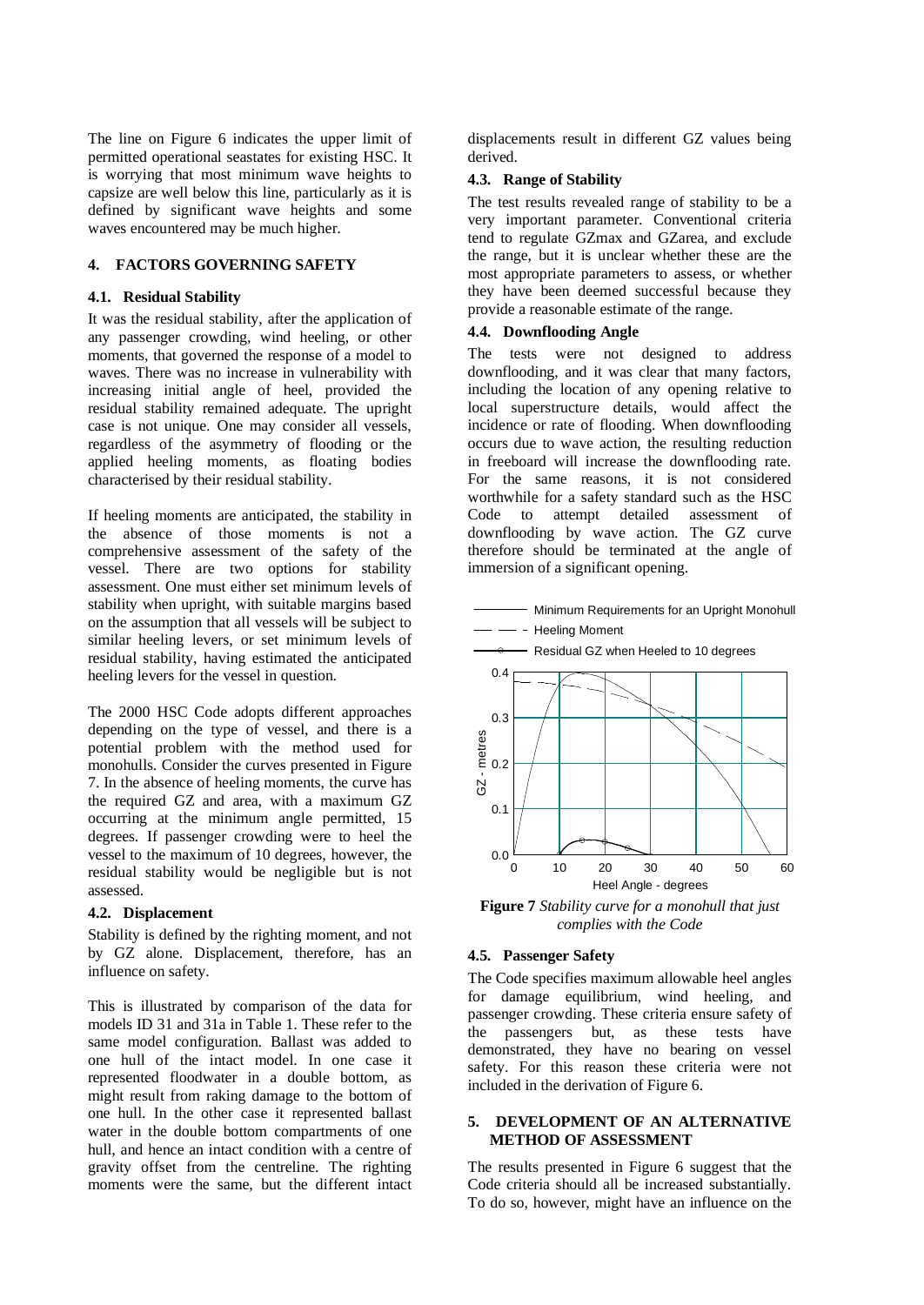The line on Figure 6 indicates the upper limit of permitted operational seastates for existing HSC. It is worrying that most minimum wave heights to capsize are well below this line, particularly as it is defined by significant wave heights and some waves encountered may be much higher.

## **4. FACTORS GOVERNING SAFETY**

# **4.1. Residual Stability**

It was the residual stability, after the application of any passenger crowding, wind heeling, or other moments, that governed the response of a model to waves. There was no increase in vulnerability with increasing initial angle of heel, provided the residual stability remained adequate. The upright case is not unique. One may consider all vessels, regardless of the asymmetry of flooding or the applied heeling moments, as floating bodies characterised by their residual stability.

If heeling moments are anticipated, the stability in the absence of those moments is not a comprehensive assessment of the safety of the vessel. There are two options for stability assessment. One must either set minimum levels of stability when upright, with suitable margins based on the assumption that all vessels will be subject to similar heeling levers, or set minimum levels of residual stability, having estimated the anticipated heeling levers for the vessel in question.

The 2000 HSC Code adopts different approaches depending on the type of vessel, and there is a potential problem with the method used for monohulls. Consider the curves presented in Figure 7. In the absence of heeling moments, the curve has the required GZ and area, with a maximum GZ occurring at the minimum angle permitted, 15 degrees. If passenger crowding were to heel the vessel to the maximum of 10 degrees, however, the residual stability would be negligible but is not assessed.

#### **4.2. Displacement**

Stability is defined by the righting moment, and not by GZ alone. Displacement, therefore, has an influence on safety.

This is illustrated by comparison of the data for models ID 31 and 31a in Table 1. These refer to the same model configuration. Ballast was added to one hull of the intact model. In one case it represented floodwater in a double bottom, as might result from raking damage to the bottom of one hull. In the other case it represented ballast water in the double bottom compartments of one hull, and hence an intact condition with a centre of gravity offset from the centreline. The righting moments were the same, but the different intact

displacements result in different GZ values being derived.

#### **4.3. Range of Stability**

The test results revealed range of stability to be a very important parameter. Conventional criteria tend to regulate GZmax and GZarea, and exclude the range, but it is unclear whether these are the most appropriate parameters to assess, or whether they have been deemed successful because they provide a reasonable estimate of the range.

#### **4.4. Downflooding Angle**

The tests were not designed to address downflooding, and it was clear that many factors, including the location of any opening relative to local superstructure details, would affect the incidence or rate of flooding. When downflooding occurs due to wave action, the resulting reduction in freeboard will increase the downflooding rate. For the same reasons, it is not considered worthwhile for a safety standard such as the HSC Code to attempt detailed assessment of downflooding by wave action. The GZ curve therefore should be terminated at the angle of immersion of a significant opening.

- Minimum Requirements for an Upright Monohull



**Figure 7** *Stability curve for a monohull that just complies with the Code* 

#### **4.5. Passenger Safety**

The Code specifies maximum allowable heel angles for damage equilibrium, wind heeling, and passenger crowding. These criteria ensure safety of the passengers but, as these tests have demonstrated, they have no bearing on vessel safety. For this reason these criteria were not included in the derivation of Figure 6.

#### **5. DEVELOPMENT OF AN ALTERNATIVE METHOD OF ASSESSMENT**

The results presented in Figure 6 suggest that the Code criteria should all be increased substantially. To do so, however, might have an influence on the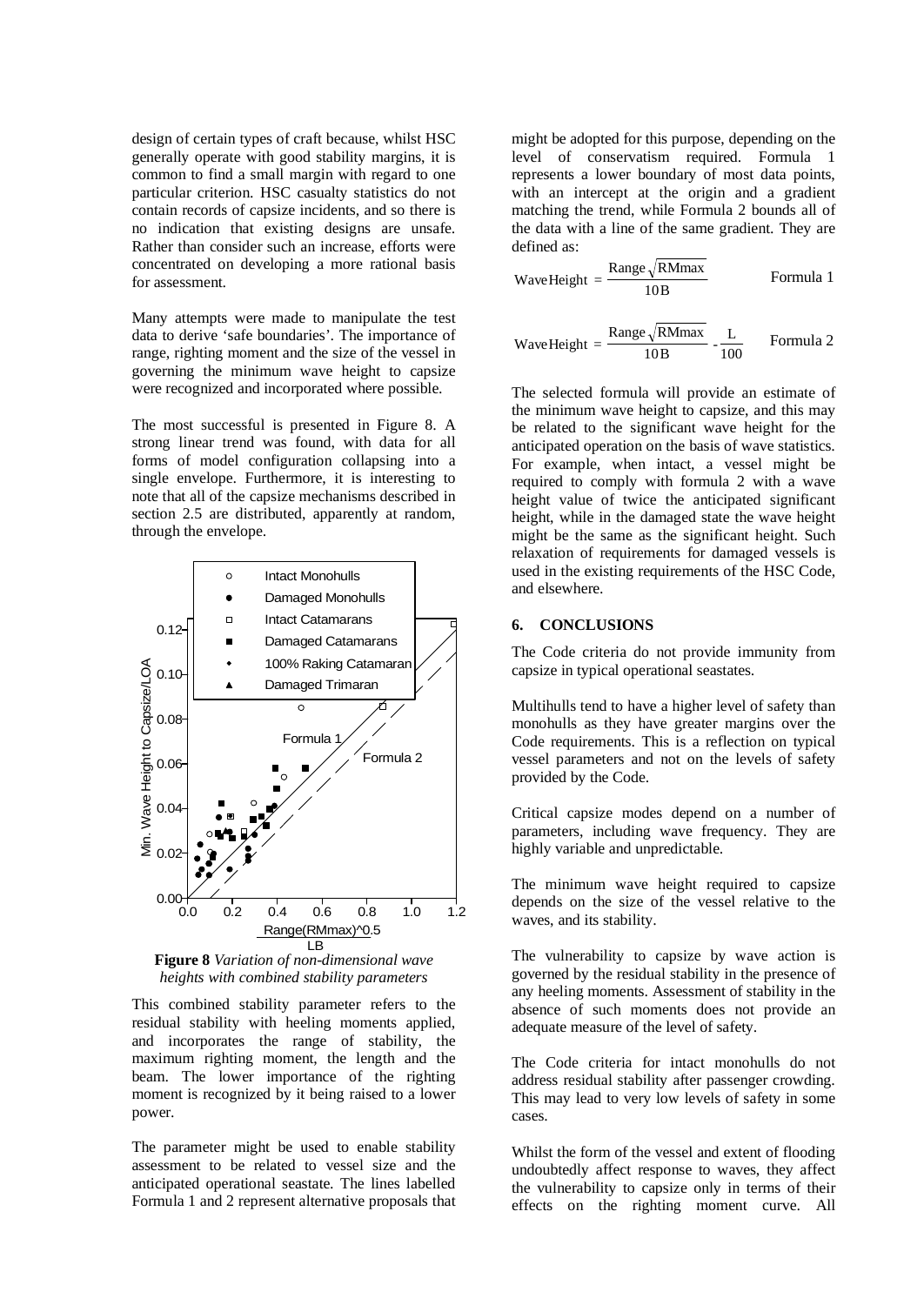design of certain types of craft because, whilst HSC generally operate with good stability margins, it is common to find a small margin with regard to one particular criterion. HSC casualty statistics do not contain records of capsize incidents, and so there is no indication that existing designs are unsafe. Rather than consider such an increase, efforts were concentrated on developing a more rational basis for assessment.

Many attempts were made to manipulate the test data to derive 'safe boundaries'. The importance of range, righting moment and the size of the vessel in governing the minimum wave height to capsize were recognized and incorporated where possible.

The most successful is presented in Figure 8. A strong linear trend was found, with data for all forms of model configuration collapsing into a single envelope. Furthermore, it is interesting to note that all of the capsize mechanisms described in section 2.5 are distributed, apparently at random, through the envelope.



**Figure 8** *Variation of non-dimensional wave heights with combined stability parameters*

This combined stability parameter refers to the residual stability with heeling moments applied, and incorporates the range of stability, the maximum righting moment, the length and the beam. The lower importance of the righting moment is recognized by it being raised to a lower power.

The parameter might be used to enable stability assessment to be related to vessel size and the anticipated operational seastate. The lines labelled Formula 1 and 2 represent alternative proposals that might be adopted for this purpose, depending on the level of conservatism required. Formula 1 represents a lower boundary of most data points, with an intercept at the origin and a gradient matching the trend, while Formula 2 bounds all of the data with a line of the same gradient. They are defined as:

WaveHeight = 
$$
\frac{\text{Range}\sqrt{\text{RMmax}}}{10B}
$$
 Formula 1

WaveHeight = 
$$
\frac{\text{Range}\sqrt{\text{RMmax}}}{10B} \cdot \frac{L}{100}
$$
 Formula 2

The selected formula will provide an estimate of the minimum wave height to capsize, and this may be related to the significant wave height for the anticipated operation on the basis of wave statistics. For example, when intact, a vessel might be required to comply with formula 2 with a wave height value of twice the anticipated significant height, while in the damaged state the wave height might be the same as the significant height. Such relaxation of requirements for damaged vessels is used in the existing requirements of the HSC Code, and elsewhere.

## **6. CONCLUSIONS**

The Code criteria do not provide immunity from capsize in typical operational seastates.

Multihulls tend to have a higher level of safety than monohulls as they have greater margins over the Code requirements. This is a reflection on typical vessel parameters and not on the levels of safety provided by the Code.

Critical capsize modes depend on a number of parameters, including wave frequency. They are highly variable and unpredictable.

The minimum wave height required to capsize depends on the size of the vessel relative to the waves, and its stability.

The vulnerability to capsize by wave action is governed by the residual stability in the presence of any heeling moments. Assessment of stability in the absence of such moments does not provide an adequate measure of the level of safety.

The Code criteria for intact monohulls do not address residual stability after passenger crowding. This may lead to very low levels of safety in some cases.

Whilst the form of the vessel and extent of flooding undoubtedly affect response to waves, they affect the vulnerability to capsize only in terms of their effects on the righting moment curve. All